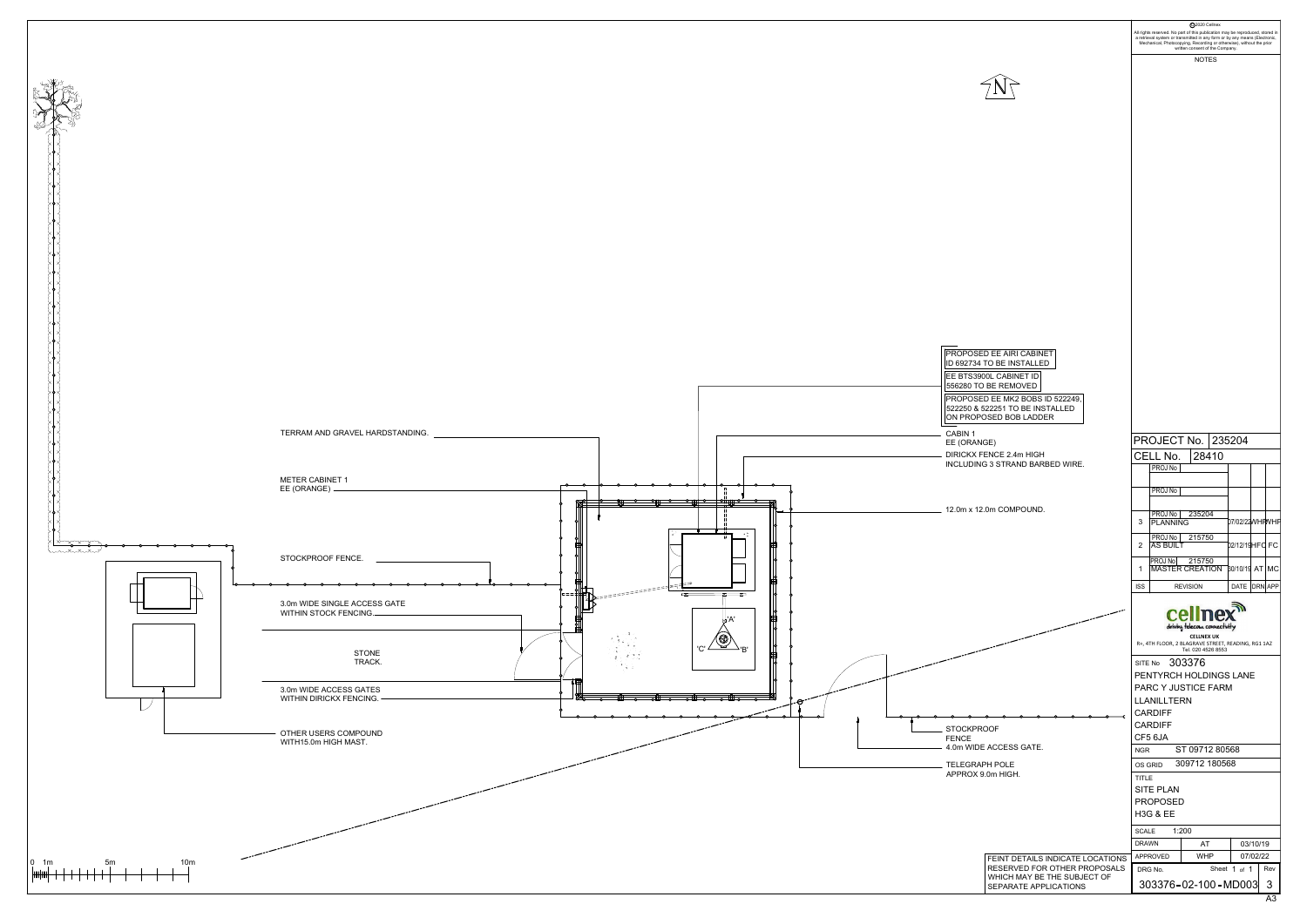

| 2020 Cellnex<br>a retrieval system or transmitted in any form or by any means (Electronic,<br>Mechanical, Photocopying, Recording or otherwise), without the prior<br>written consent of the Company.<br><b>NOTES</b><br><b>DEE AIRI CABINET</b><br>O BE INSTALLED<br>0L CABINET ID<br><b>BE REMOVED</b><br>) EE MK2 BOBS ID 522249,<br>22251 TO BE INSTALLED<br><b>SED BOB LADDER</b><br>PROJECT No.<br>235204<br>GE)<br>ENCE 2.4m HIGH<br>CELL No.<br>28410<br>3 STRAND BARBED WIRE.<br>PROJ No<br>PROJ No<br>0m COMPOUND.<br>PROJ No<br>235204<br>07/02/22WHPWHF<br>3<br><b>PLANNING</b><br>PROJ No<br>215750<br>02/12/19HFC FC<br>2<br><b>AS BUILT</b><br>PROJ No<br>215750<br><b>MASTER CREATION</b><br>30/10/19 AT MC<br>1<br><b>ISS</b><br>DATE DRN APP<br><b>REVISION</b><br>cel<br>driving telecom connectivity<br><b>CELLNEX UK</b><br>R+, 4TH FLOOR, 2 BLAGRAVE STREET, READING, RG1 1AZ<br>Tel. 020 4526 8553<br>303376<br>SITE No<br>PENTYRCH HOLDINGS LANE<br>PARC Y JUSTICE FARM<br><b>LLANILLTERN</b><br><b>CARDIFF</b><br><b>CARDIFF</b><br>)OF<br>CF5 6JA<br>ACCESS GATE.<br>ST 09712 80568<br><b>NGR</b><br>309712 180568<br>'H POLE<br>OS GRID<br>0m HIGH.<br><b>TITLE</b><br>SITE PLAN<br><b>PROPOSED</b><br><b>H3G &amp; EE</b><br>1:200<br><b>SCALE</b><br><b>DRAWN</b><br>AT<br>03/10/19<br><b>WHP</b><br>07/02/22<br>APPROVED<br>FEINT DETAILS INDICATE LOCATIONS<br>RESERVED FOR OTHER PROPOSALS<br>Sheet 1 of 1<br>DRG No.<br>WHICH MAY BE THE SUBJECT OF<br>303376-02-100-MD003<br>3<br>SEPARATE APPLICATIONS |  |                                                                               |  |     |  |            |  |  |  |  |  |
|-------------------------------------------------------------------------------------------------------------------------------------------------------------------------------------------------------------------------------------------------------------------------------------------------------------------------------------------------------------------------------------------------------------------------------------------------------------------------------------------------------------------------------------------------------------------------------------------------------------------------------------------------------------------------------------------------------------------------------------------------------------------------------------------------------------------------------------------------------------------------------------------------------------------------------------------------------------------------------------------------------------------------------------------------------------------------------------------------------------------------------------------------------------------------------------------------------------------------------------------------------------------------------------------------------------------------------------------------------------------------------------------------------------------------------------------------------------------------------------------------------------------------------------------|--|-------------------------------------------------------------------------------|--|-----|--|------------|--|--|--|--|--|
|                                                                                                                                                                                                                                                                                                                                                                                                                                                                                                                                                                                                                                                                                                                                                                                                                                                                                                                                                                                                                                                                                                                                                                                                                                                                                                                                                                                                                                                                                                                                           |  | All rights reserved. No part of this publication may be reproduced, stored in |  |     |  |            |  |  |  |  |  |
|                                                                                                                                                                                                                                                                                                                                                                                                                                                                                                                                                                                                                                                                                                                                                                                                                                                                                                                                                                                                                                                                                                                                                                                                                                                                                                                                                                                                                                                                                                                                           |  |                                                                               |  |     |  |            |  |  |  |  |  |
|                                                                                                                                                                                                                                                                                                                                                                                                                                                                                                                                                                                                                                                                                                                                                                                                                                                                                                                                                                                                                                                                                                                                                                                                                                                                                                                                                                                                                                                                                                                                           |  |                                                                               |  |     |  |            |  |  |  |  |  |
|                                                                                                                                                                                                                                                                                                                                                                                                                                                                                                                                                                                                                                                                                                                                                                                                                                                                                                                                                                                                                                                                                                                                                                                                                                                                                                                                                                                                                                                                                                                                           |  |                                                                               |  |     |  |            |  |  |  |  |  |
|                                                                                                                                                                                                                                                                                                                                                                                                                                                                                                                                                                                                                                                                                                                                                                                                                                                                                                                                                                                                                                                                                                                                                                                                                                                                                                                                                                                                                                                                                                                                           |  |                                                                               |  |     |  |            |  |  |  |  |  |
|                                                                                                                                                                                                                                                                                                                                                                                                                                                                                                                                                                                                                                                                                                                                                                                                                                                                                                                                                                                                                                                                                                                                                                                                                                                                                                                                                                                                                                                                                                                                           |  |                                                                               |  |     |  |            |  |  |  |  |  |
|                                                                                                                                                                                                                                                                                                                                                                                                                                                                                                                                                                                                                                                                                                                                                                                                                                                                                                                                                                                                                                                                                                                                                                                                                                                                                                                                                                                                                                                                                                                                           |  |                                                                               |  |     |  |            |  |  |  |  |  |
|                                                                                                                                                                                                                                                                                                                                                                                                                                                                                                                                                                                                                                                                                                                                                                                                                                                                                                                                                                                                                                                                                                                                                                                                                                                                                                                                                                                                                                                                                                                                           |  |                                                                               |  |     |  |            |  |  |  |  |  |
|                                                                                                                                                                                                                                                                                                                                                                                                                                                                                                                                                                                                                                                                                                                                                                                                                                                                                                                                                                                                                                                                                                                                                                                                                                                                                                                                                                                                                                                                                                                                           |  |                                                                               |  |     |  |            |  |  |  |  |  |
|                                                                                                                                                                                                                                                                                                                                                                                                                                                                                                                                                                                                                                                                                                                                                                                                                                                                                                                                                                                                                                                                                                                                                                                                                                                                                                                                                                                                                                                                                                                                           |  |                                                                               |  |     |  |            |  |  |  |  |  |
|                                                                                                                                                                                                                                                                                                                                                                                                                                                                                                                                                                                                                                                                                                                                                                                                                                                                                                                                                                                                                                                                                                                                                                                                                                                                                                                                                                                                                                                                                                                                           |  |                                                                               |  |     |  |            |  |  |  |  |  |
|                                                                                                                                                                                                                                                                                                                                                                                                                                                                                                                                                                                                                                                                                                                                                                                                                                                                                                                                                                                                                                                                                                                                                                                                                                                                                                                                                                                                                                                                                                                                           |  |                                                                               |  |     |  |            |  |  |  |  |  |
|                                                                                                                                                                                                                                                                                                                                                                                                                                                                                                                                                                                                                                                                                                                                                                                                                                                                                                                                                                                                                                                                                                                                                                                                                                                                                                                                                                                                                                                                                                                                           |  |                                                                               |  |     |  |            |  |  |  |  |  |
|                                                                                                                                                                                                                                                                                                                                                                                                                                                                                                                                                                                                                                                                                                                                                                                                                                                                                                                                                                                                                                                                                                                                                                                                                                                                                                                                                                                                                                                                                                                                           |  |                                                                               |  |     |  |            |  |  |  |  |  |
|                                                                                                                                                                                                                                                                                                                                                                                                                                                                                                                                                                                                                                                                                                                                                                                                                                                                                                                                                                                                                                                                                                                                                                                                                                                                                                                                                                                                                                                                                                                                           |  |                                                                               |  |     |  |            |  |  |  |  |  |
|                                                                                                                                                                                                                                                                                                                                                                                                                                                                                                                                                                                                                                                                                                                                                                                                                                                                                                                                                                                                                                                                                                                                                                                                                                                                                                                                                                                                                                                                                                                                           |  |                                                                               |  |     |  |            |  |  |  |  |  |
|                                                                                                                                                                                                                                                                                                                                                                                                                                                                                                                                                                                                                                                                                                                                                                                                                                                                                                                                                                                                                                                                                                                                                                                                                                                                                                                                                                                                                                                                                                                                           |  |                                                                               |  |     |  |            |  |  |  |  |  |
|                                                                                                                                                                                                                                                                                                                                                                                                                                                                                                                                                                                                                                                                                                                                                                                                                                                                                                                                                                                                                                                                                                                                                                                                                                                                                                                                                                                                                                                                                                                                           |  |                                                                               |  |     |  |            |  |  |  |  |  |
|                                                                                                                                                                                                                                                                                                                                                                                                                                                                                                                                                                                                                                                                                                                                                                                                                                                                                                                                                                                                                                                                                                                                                                                                                                                                                                                                                                                                                                                                                                                                           |  |                                                                               |  |     |  |            |  |  |  |  |  |
|                                                                                                                                                                                                                                                                                                                                                                                                                                                                                                                                                                                                                                                                                                                                                                                                                                                                                                                                                                                                                                                                                                                                                                                                                                                                                                                                                                                                                                                                                                                                           |  |                                                                               |  |     |  |            |  |  |  |  |  |
|                                                                                                                                                                                                                                                                                                                                                                                                                                                                                                                                                                                                                                                                                                                                                                                                                                                                                                                                                                                                                                                                                                                                                                                                                                                                                                                                                                                                                                                                                                                                           |  |                                                                               |  |     |  |            |  |  |  |  |  |
|                                                                                                                                                                                                                                                                                                                                                                                                                                                                                                                                                                                                                                                                                                                                                                                                                                                                                                                                                                                                                                                                                                                                                                                                                                                                                                                                                                                                                                                                                                                                           |  |                                                                               |  |     |  |            |  |  |  |  |  |
|                                                                                                                                                                                                                                                                                                                                                                                                                                                                                                                                                                                                                                                                                                                                                                                                                                                                                                                                                                                                                                                                                                                                                                                                                                                                                                                                                                                                                                                                                                                                           |  |                                                                               |  |     |  |            |  |  |  |  |  |
|                                                                                                                                                                                                                                                                                                                                                                                                                                                                                                                                                                                                                                                                                                                                                                                                                                                                                                                                                                                                                                                                                                                                                                                                                                                                                                                                                                                                                                                                                                                                           |  |                                                                               |  |     |  |            |  |  |  |  |  |
|                                                                                                                                                                                                                                                                                                                                                                                                                                                                                                                                                                                                                                                                                                                                                                                                                                                                                                                                                                                                                                                                                                                                                                                                                                                                                                                                                                                                                                                                                                                                           |  |                                                                               |  |     |  |            |  |  |  |  |  |
|                                                                                                                                                                                                                                                                                                                                                                                                                                                                                                                                                                                                                                                                                                                                                                                                                                                                                                                                                                                                                                                                                                                                                                                                                                                                                                                                                                                                                                                                                                                                           |  |                                                                               |  |     |  |            |  |  |  |  |  |
|                                                                                                                                                                                                                                                                                                                                                                                                                                                                                                                                                                                                                                                                                                                                                                                                                                                                                                                                                                                                                                                                                                                                                                                                                                                                                                                                                                                                                                                                                                                                           |  |                                                                               |  |     |  |            |  |  |  |  |  |
|                                                                                                                                                                                                                                                                                                                                                                                                                                                                                                                                                                                                                                                                                                                                                                                                                                                                                                                                                                                                                                                                                                                                                                                                                                                                                                                                                                                                                                                                                                                                           |  |                                                                               |  |     |  |            |  |  |  |  |  |
|                                                                                                                                                                                                                                                                                                                                                                                                                                                                                                                                                                                                                                                                                                                                                                                                                                                                                                                                                                                                                                                                                                                                                                                                                                                                                                                                                                                                                                                                                                                                           |  |                                                                               |  |     |  |            |  |  |  |  |  |
|                                                                                                                                                                                                                                                                                                                                                                                                                                                                                                                                                                                                                                                                                                                                                                                                                                                                                                                                                                                                                                                                                                                                                                                                                                                                                                                                                                                                                                                                                                                                           |  |                                                                               |  |     |  |            |  |  |  |  |  |
|                                                                                                                                                                                                                                                                                                                                                                                                                                                                                                                                                                                                                                                                                                                                                                                                                                                                                                                                                                                                                                                                                                                                                                                                                                                                                                                                                                                                                                                                                                                                           |  |                                                                               |  |     |  |            |  |  |  |  |  |
|                                                                                                                                                                                                                                                                                                                                                                                                                                                                                                                                                                                                                                                                                                                                                                                                                                                                                                                                                                                                                                                                                                                                                                                                                                                                                                                                                                                                                                                                                                                                           |  |                                                                               |  |     |  |            |  |  |  |  |  |
|                                                                                                                                                                                                                                                                                                                                                                                                                                                                                                                                                                                                                                                                                                                                                                                                                                                                                                                                                                                                                                                                                                                                                                                                                                                                                                                                                                                                                                                                                                                                           |  |                                                                               |  |     |  |            |  |  |  |  |  |
|                                                                                                                                                                                                                                                                                                                                                                                                                                                                                                                                                                                                                                                                                                                                                                                                                                                                                                                                                                                                                                                                                                                                                                                                                                                                                                                                                                                                                                                                                                                                           |  |                                                                               |  |     |  |            |  |  |  |  |  |
|                                                                                                                                                                                                                                                                                                                                                                                                                                                                                                                                                                                                                                                                                                                                                                                                                                                                                                                                                                                                                                                                                                                                                                                                                                                                                                                                                                                                                                                                                                                                           |  |                                                                               |  |     |  |            |  |  |  |  |  |
|                                                                                                                                                                                                                                                                                                                                                                                                                                                                                                                                                                                                                                                                                                                                                                                                                                                                                                                                                                                                                                                                                                                                                                                                                                                                                                                                                                                                                                                                                                                                           |  |                                                                               |  |     |  |            |  |  |  |  |  |
|                                                                                                                                                                                                                                                                                                                                                                                                                                                                                                                                                                                                                                                                                                                                                                                                                                                                                                                                                                                                                                                                                                                                                                                                                                                                                                                                                                                                                                                                                                                                           |  |                                                                               |  |     |  |            |  |  |  |  |  |
|                                                                                                                                                                                                                                                                                                                                                                                                                                                                                                                                                                                                                                                                                                                                                                                                                                                                                                                                                                                                                                                                                                                                                                                                                                                                                                                                                                                                                                                                                                                                           |  |                                                                               |  |     |  |            |  |  |  |  |  |
|                                                                                                                                                                                                                                                                                                                                                                                                                                                                                                                                                                                                                                                                                                                                                                                                                                                                                                                                                                                                                                                                                                                                                                                                                                                                                                                                                                                                                                                                                                                                           |  |                                                                               |  |     |  |            |  |  |  |  |  |
|                                                                                                                                                                                                                                                                                                                                                                                                                                                                                                                                                                                                                                                                                                                                                                                                                                                                                                                                                                                                                                                                                                                                                                                                                                                                                                                                                                                                                                                                                                                                           |  |                                                                               |  |     |  |            |  |  |  |  |  |
|                                                                                                                                                                                                                                                                                                                                                                                                                                                                                                                                                                                                                                                                                                                                                                                                                                                                                                                                                                                                                                                                                                                                                                                                                                                                                                                                                                                                                                                                                                                                           |  |                                                                               |  |     |  |            |  |  |  |  |  |
|                                                                                                                                                                                                                                                                                                                                                                                                                                                                                                                                                                                                                                                                                                                                                                                                                                                                                                                                                                                                                                                                                                                                                                                                                                                                                                                                                                                                                                                                                                                                           |  |                                                                               |  |     |  |            |  |  |  |  |  |
|                                                                                                                                                                                                                                                                                                                                                                                                                                                                                                                                                                                                                                                                                                                                                                                                                                                                                                                                                                                                                                                                                                                                                                                                                                                                                                                                                                                                                                                                                                                                           |  |                                                                               |  |     |  |            |  |  |  |  |  |
|                                                                                                                                                                                                                                                                                                                                                                                                                                                                                                                                                                                                                                                                                                                                                                                                                                                                                                                                                                                                                                                                                                                                                                                                                                                                                                                                                                                                                                                                                                                                           |  |                                                                               |  |     |  |            |  |  |  |  |  |
|                                                                                                                                                                                                                                                                                                                                                                                                                                                                                                                                                                                                                                                                                                                                                                                                                                                                                                                                                                                                                                                                                                                                                                                                                                                                                                                                                                                                                                                                                                                                           |  |                                                                               |  | Rev |  |            |  |  |  |  |  |
|                                                                                                                                                                                                                                                                                                                                                                                                                                                                                                                                                                                                                                                                                                                                                                                                                                                                                                                                                                                                                                                                                                                                                                                                                                                                                                                                                                                                                                                                                                                                           |  |                                                                               |  |     |  | <b>A</b> 3 |  |  |  |  |  |